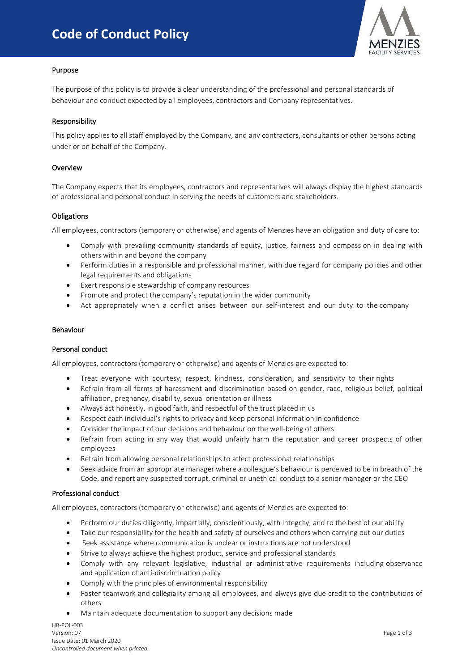# **Code of Conduct Policy**



## Purpose

The purpose of this policy is to provide a clear understanding of the professional and personal standards of behaviour and conduct expected by all employees, contractors and Company representatives.

## Responsibility

This policy applies to all staff employed by the Company, and any contractors, consultants or other persons acting under or on behalf of the Company.

### **Overview**

The Company expects that its employees, contractors and representatives will always display the highest standards of professional and personal conduct in serving the needs of customers and stakeholders.

### **Obligations**

All employees, contractors (temporary or otherwise) and agents of Menzies have an obligation and duty of care to:

- Comply with prevailing community standards of equity, justice, fairness and compassion in dealing with others within and beyond the company
- Perform duties in a responsible and professional manner, with due regard for company policies and other legal requirements and obligations
- Exert responsible stewardship of company resources
- Promote and protect the company's reputation in the wider community
- Act appropriately when a conflict arises between our self-interest and our duty to the company

### Behaviour

### Personal conduct

All employees, contractors (temporary or otherwise) and agents of Menzies are expected to:

- Treat everyone with courtesy, respect, kindness, consideration, and sensitivity to their rights
- Refrain from all forms of harassment and discrimination based on gender, race, religious belief, political affiliation, pregnancy, disability, sexual orientation or illness
- Always act honestly, in good faith, and respectful of the trust placed in us
- Respect each individual's rights to privacy and keep personal information in confidence
- Consider the impact of our decisions and behaviour on the well-being of others
- Refrain from acting in any way that would unfairly harm the reputation and career prospects of other employees
- Refrain from allowing personal relationships to affect professional relationships
- Seek advice from an appropriate manager where a colleague's behaviour is perceived to be in breach of the Code, and report any suspected corrupt, criminal or unethical conduct to a senior manager or the CEO

### Professional conduct

All employees, contractors (temporary or otherwise) and agents of Menzies are expected to:

- Perform our duties diligently, impartially, conscientiously, with integrity, and to the best of our ability
- Take our responsibility for the health and safety of ourselves and others when carrying out our duties
- Seek assistance where communication is unclear or instructions are not understood
- Strive to always achieve the highest product, service and professional standards
- Comply with any relevant legislative, industrial or administrative requirements including observance and application of anti-discrimination policy
- Comply with the principles of environmental responsibility
- Foster teamwork and collegiality among all employees, and always give due credit to the contributions of others
- Maintain adequate documentation to support any decisions made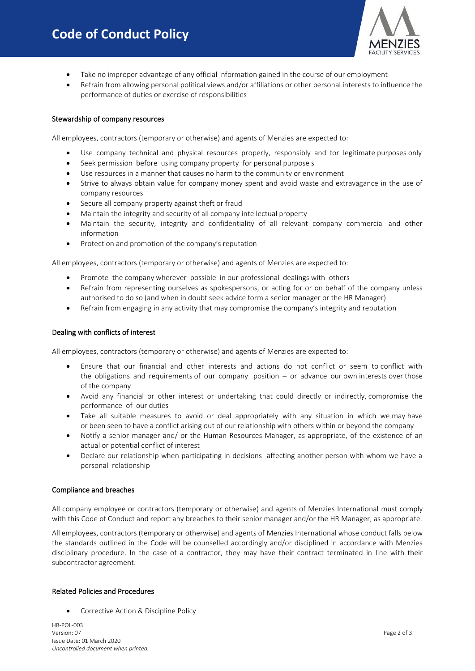

- Take no improper advantage of any official information gained in the course of our employment
- Refrain from allowing personal political views and/or affiliations or other personal interests to influence the performance of duties or exercise of responsibilities

### Stewardship of company resources

All employees, contractors (temporary or otherwise) and agents of Menzies are expected to:

- Use company technical and physical resources properly, responsibly and for legitimate purposes only
- Seek permission before using company property for personal purpose s
- Use resources in a manner that causes no harm to the community or environment
- Strive to always obtain value for company money spent and avoid waste and extravagance in the use of company resources
- Secure all company property against theft or fraud
- Maintain the integrity and security of all company intellectual property
- Maintain the security, integrity and confidentiality of all relevant company commercial and other information
- Protection and promotion of the company's reputation

All employees, contractors (temporary or otherwise) and agents of Menzies are expected to:

- Promote the company wherever possible in our professional dealings with others
- Refrain from representing ourselves as spokespersons, or acting for or on behalf of the company unless authorised to do so (and when in doubt seek advice form a senior manager or the HR Manager)
- Refrain from engaging in any activity that may compromise the company's integrity and reputation

### Dealing with conflicts of interest

All employees, contractors (temporary or otherwise) and agents of Menzies are expected to:

- Ensure that our financial and other interests and actions do not conflict or seem to conflict with the obligations and requirements of our company position – or advance our own interests over those of the company
- Avoid any financial or other interest or undertaking that could directly or indirectly, compromise the performance of our duties
- Take all suitable measures to avoid or deal appropriately with any situation in which we may have or been seen to have a conflict arising out of our relationship with others within or beyond the company
- Notify a senior manager and/ or the Human Resources Manager, as appropriate, of the existence of an actual or potential conflict of interest
- Declare our relationship when participating in decisions affecting another person with whom we have a personal relationship

### Compliance and breaches

All company employee or contractors (temporary or otherwise) and agents of Menzies International must comply with this Code of Conduct and report any breaches to their senior manager and/or the HR Manager, as appropriate.

All employees, contractors (temporary or otherwise) and agents of Menzies International whose conduct falls below the standards outlined in the Code will be counselled accordingly and/or disciplined in accordance with Menzies disciplinary procedure. In the case of a contractor, they may have their contract terminated in line with their subcontractor agreement.

### Related Policies and Procedures

• Corrective Action & Discipline Policy